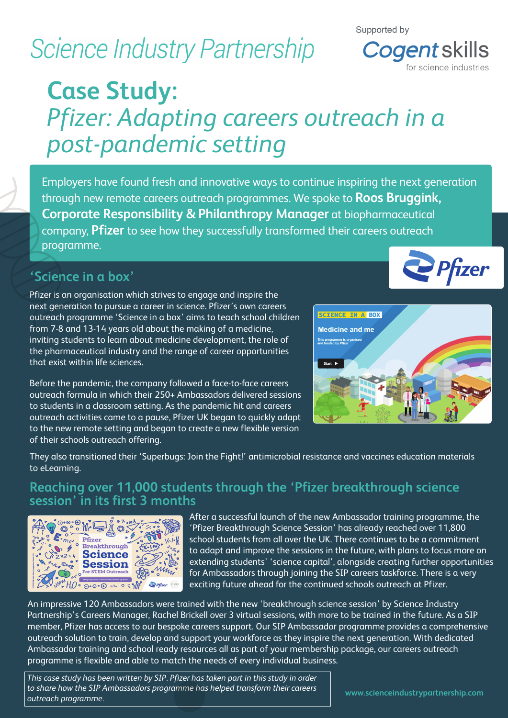# **Science Industry Partnership**

#### Supported by



## **Case Study:**  *Pfizer: Adapting careers outreach in a post-pandemic setting*

Employers have found fresh and innovative ways to continue inspiring the next generation through new remote careers outreach programmes. We spoke to **Roos Bruggink, Corporate Responsibility & Philanthropy Manager** at biopharmaceutical company, **Pfizer** to see how they successfully transformed their careers outreach programme.

## **'Science in a box'**

Pfizer is an organisation which strives to engage and inspire the next generation to pursue a career in science. Pfizer's own careers outreach programme 'Science in a box' aims to teach school children from 7-8 and 13-14 years old about the making of a medicine, inviting students to learn about medicine development, the role of the pharmaceutical industry and the range of career opportunities that exist within life sciences.

Before the pandemic, the company followed a face-to-face careers outreach formula in which their 250+ Ambassadors delivered sessions to students in a classroom setting. As the pandemic hit and careers outreach activities came to a pause, Pfizer UK began to quickly adapt to the new remote setting and began to create a new flexible version of their schools outreach offering.





They also transitioned their 'Superbugs: Join the Fight!' antimicrobial resistance and vaccines education materials to eLearning.

### **Reaching over 11,000 students through the 'Pfizer breakthrough science session' in its first 3 months**



After a successful launch of the new Ambassador training programme, the 'Pfizer Breakthrough Science Session' has already reached over 11,800 school students from all over the UK. There continues to be a commitment to adapt and improve the sessions in the future, with plans to focus more on extending students' 'science capital', alongside creating further opportunities for Ambassadors through joining the SIP careers taskforce. There is a very exciting future ahead for the continued schools outreach at Pfizer.

An impressive 120 Ambassadors were trained with the new 'breakthrough science session' by Science Industry Partnership's Careers Manager, Rachel Brickell over 3 virtual sessions, with more to be trained in the future. As a SIP member, Pfizer has access to our bespoke careers support. Our SIP Ambassador programme provides a comprehensive outreach solution to train, develop and support your workforce as they inspire the next generation. With dedicated Ambassador training and school ready resources all as part of your membership package, our careers outreach programme is flexible and able to match the needs of every individual business.

*This case study has been written by SIP. Pfizer has taken part in this study in order to share how the SIP Ambassadors programme has helped transform their careers outreach programme.*

**www.scienceindustrypartnership.com**